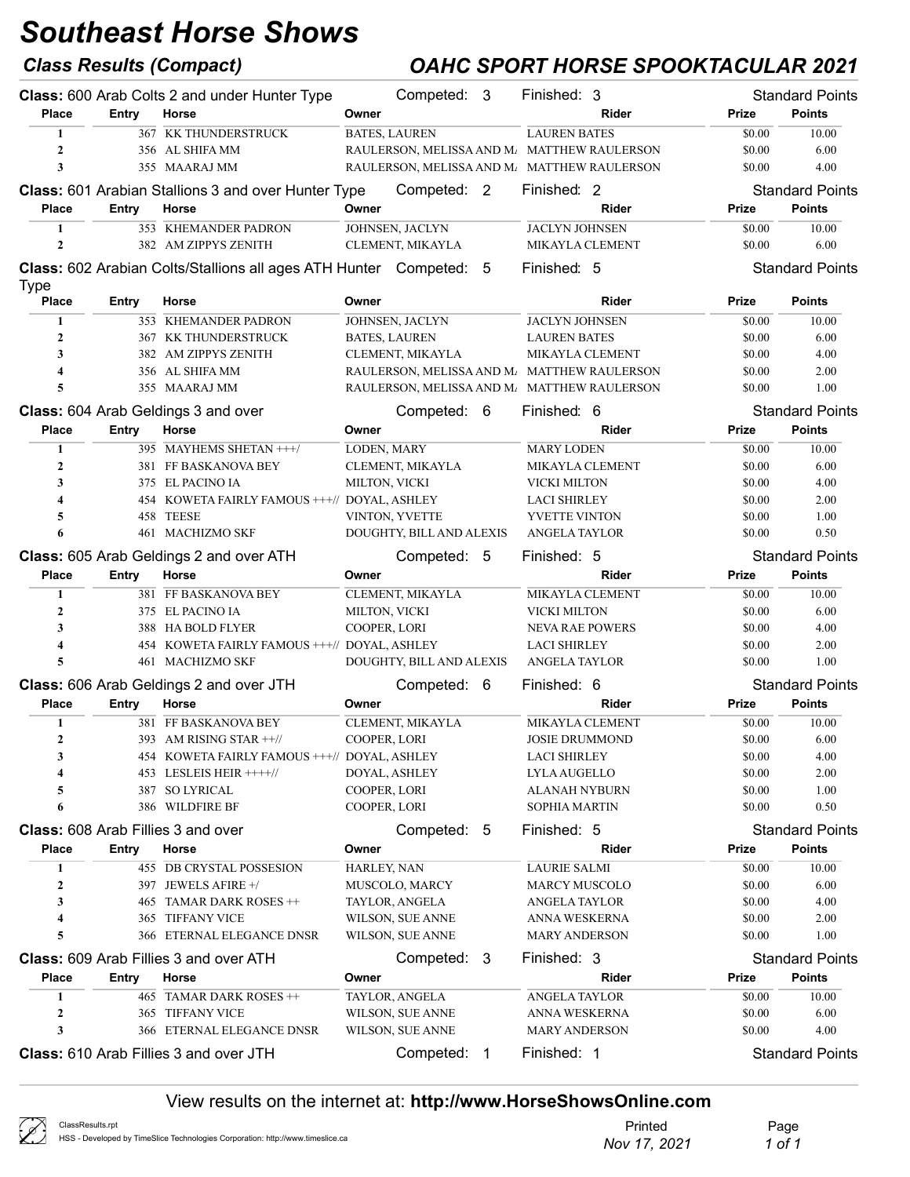## Class Results (Compact) OAHC SPORT HORSE SPOOKTACULAR 2021

|                             |            | Class: 600 Arab Colts 2 and under Hunter Type                      |               | Competed: 3                                 | Finished: 3                                  |       |                  | <b>Standard Points</b> |
|-----------------------------|------------|--------------------------------------------------------------------|---------------|---------------------------------------------|----------------------------------------------|-------|------------------|------------------------|
| <b>Place</b>                | Entry      | Horse                                                              | Owner         |                                             |                                              | Rider | Prize            | <b>Points</b>          |
| $\mathbf{1}$                |            | 367 KK THUNDERSTRUCK                                               |               | <b>BATES, LAUREN</b>                        | <b>LAUREN BATES</b>                          |       | \$0.00           | 10.00                  |
| $\overline{2}$              |            | 356 AL SHIFA MM                                                    |               | RAULERSON, MELISSA AND M. MATTHEW RAULERSON |                                              |       | \$0.00           | 6.00                   |
| 3                           |            | 355 MAARAJ MM                                                      |               | RAULERSON, MELISSA AND M/ MATTHEW RAULERSON |                                              |       | \$0.00           | 4.00                   |
|                             |            | <b>Class:</b> 601 Arabian Stallions 3 and over Hunter Type         |               | Competed: 2                                 | Finished: 2                                  |       |                  | <b>Standard Points</b> |
| <b>Place</b>                | Entry      | Horse                                                              | Owner         |                                             |                                              | Rider | <b>Prize</b>     | <b>Points</b>          |
| 1                           |            | 353 KHEMANDER PADRON                                               |               | JOHNSEN, JACLYN                             | <b>JACLYN JOHNSEN</b>                        |       | \$0.00           | 10.00                  |
| $\boldsymbol{2}$            |            | 382 AM ZIPPYS ZENITH                                               |               | CLEMENT, MIKAYLA                            | MIKAYLA CLEMENT                              |       | \$0.00           | 6.00                   |
|                             |            | Class: 602 Arabian Colts/Stallions all ages ATH Hunter Competed: 5 |               |                                             | Finished: 5                                  |       |                  | <b>Standard Points</b> |
| <b>Type</b><br><b>Place</b> | Entry      | Horse                                                              | Owner         |                                             |                                              | Rider | Prize            | <b>Points</b>          |
| $\mathbf{1}$                |            | 353 KHEMANDER PADRON                                               |               | JOHNSEN, JACLYN                             | <b>JACLYN JOHNSEN</b>                        |       | \$0.00           | 10.00                  |
| $\overline{2}$              |            | 367 KK THUNDERSTRUCK                                               |               | <b>BATES, LAUREN</b>                        | <b>LAUREN BATES</b>                          |       | \$0.00           | 6.00                   |
| 3                           |            | 382 AM ZIPPYS ZENITH                                               |               | CLEMENT, MIKAYLA                            | MIKAYLA CLEMENT                              |       | \$0.00           | 4.00                   |
| $\overline{\mathbf{4}}$     |            | 356 AL SHIFA MM                                                    |               | RAULERSON, MELISSA AND M/ MATTHEW RAULERSON |                                              |       | \$0.00           | 2.00                   |
| 5                           |            | 355 MAARAJ MM                                                      |               | RAULERSON, MELISSA AND M/ MATTHEW RAULERSON |                                              |       | \$0.00           | 1.00                   |
|                             |            | Class: 604 Arab Geldings 3 and over                                |               | Competed: 6                                 | Finished: 6                                  |       |                  | <b>Standard Points</b> |
| <b>Place</b>                | Entry      | Horse                                                              | Owner         |                                             |                                              | Rider | Prize            | <b>Points</b>          |
| 1                           |            | 395 MAYHEMS SHETAN +++/                                            | LODEN, MARY   |                                             | <b>MARY LODEN</b>                            |       | \$0.00           | 10.00                  |
| $\boldsymbol{2}$            |            | 381 FF BASKANOVA BEY                                               |               | CLEMENT, MIKAYLA                            | MIKAYLA CLEMENT                              |       | \$0.00           | 6.00                   |
| 3                           |            | 375 EL PACINO IA                                                   | MILTON, VICKI |                                             | VICKI MILTON                                 |       | \$0.00           | 4.00                   |
| 4                           |            | 454 KOWETA FAIRLY FAMOUS +++// DOYAL, ASHLEY                       |               |                                             | <b>LACI SHIRLEY</b>                          |       | \$0.00           | 2.00                   |
| 5                           |            | 458 TEESE                                                          |               | VINTON, YVETTE                              | YVETTE VINTON                                |       | \$0.00           | 1.00                   |
| 6                           |            | 461 MACHIZMO SKF                                                   |               | DOUGHTY, BILL AND ALEXIS                    | <b>ANGELA TAYLOR</b>                         |       | \$0.00           | 0.50                   |
|                             |            | Class: 605 Arab Geldings 2 and over ATH                            |               | Competed: 5                                 | Finished: 5                                  |       |                  | <b>Standard Points</b> |
| <b>Place</b>                | Entry      | Horse                                                              | Owner         |                                             |                                              | Rider | Prize            | <b>Points</b>          |
| $\mathbf{1}$                |            | 381 FF BASKANOVA BEY                                               |               | CLEMENT, MIKAYLA                            | MIKAYLA CLEMENT                              |       | \$0.00           | 10.00                  |
| $\mathbf{2}$                |            | 375 EL PACINO IA                                                   | MILTON, VICKI |                                             | VICKI MILTON                                 |       | \$0.00           | 6.00                   |
| 3                           |            | 388 HA BOLD FLYER                                                  | COOPER, LORI  |                                             | <b>NEVA RAE POWERS</b>                       |       | \$0.00           | 4.00                   |
| 4                           |            | 454 KOWETA FAIRLY FAMOUS +++// DOYAL, ASHLEY                       |               |                                             | <b>LACI SHIRLEY</b>                          |       | \$0.00           | 2.00                   |
| 5                           |            | 461 MACHIZMO SKF                                                   |               | DOUGHTY, BILL AND ALEXIS                    | <b>ANGELA TAYLOR</b>                         |       | \$0.00           | 1.00                   |
|                             |            | Class: 606 Arab Geldings 2 and over JTH                            |               | Competed: 6                                 | Finished: 6                                  |       |                  | <b>Standard Points</b> |
| <b>Place</b>                | Entry      | Horse                                                              | Owner         |                                             |                                              | Rider | <b>Prize</b>     | <b>Points</b>          |
| 1                           |            | 381 FF BASKANOVA BEY                                               |               | CLEMENT, MIKAYLA                            | <b>MIKAYLA CLEMENT</b>                       |       | \$0.00           | 10.00                  |
| $\boldsymbol{2}$            |            | 393 AM RISING STAR ++//                                            | COOPER, LORI  |                                             | <b>JOSIE DRUMMOND</b>                        |       | \$0.00           | 6.00                   |
| 3                           |            | 454 KOWETA FAIRLY FAMOUS +++// DOYAL, ASHLEY                       |               |                                             | <b>LACI SHIRLEY</b>                          |       | \$0.00           | 4.00                   |
| 4                           |            | 453 LESLEIS HEIR ++++//                                            |               | DOYAL, ASHLEY                               | <b>LYLA AUGELLO</b>                          |       | \$0.00           | 2.00                   |
| 5                           |            | 387 SO LYRICAL                                                     | COOPER, LORI  |                                             | <b>ALANAH NYBURN</b>                         |       | \$0.00           | 1.00                   |
| 6                           |            | 386 WILDFIRE BF                                                    | COOPER, LORI  |                                             | SOPHIA MARTIN                                |       | \$0.00           | 0.50                   |
|                             |            | <b>Class:</b> 608 Arab Fillies 3 and over                          |               | Competed: 5                                 | Finished: 5                                  |       |                  | <b>Standard Points</b> |
| <b>Place</b>                |            |                                                                    |               |                                             |                                              | Rider |                  | <b>Points</b>          |
|                             | Entry      | Horse                                                              | Owner         |                                             |                                              |       | Prize            |                        |
| 1                           |            | 455 DB CRYSTAL POSSESION                                           | HARLEY, NAN   |                                             | <b>LAURIE SALMI</b>                          |       | \$0.00           | 10.00                  |
| $\boldsymbol{2}$<br>3       |            | 397 JEWELS AFIRE +/<br>TAMAR DARK ROSES ++                         |               | MUSCOLO, MARCY                              | <b>MARCY MUSCOLO</b><br><b>ANGELA TAYLOR</b> |       | \$0.00           | 6.00                   |
| 4                           | 465<br>365 | <b>TIFFANY VICE</b>                                                |               | TAYLOR, ANGELA                              | ANNA WESKERNA                                |       | \$0.00<br>\$0.00 | 4.00<br>2.00           |
| 5                           | 366        | ETERNAL ELEGANCE DNSR                                              |               | WILSON, SUE ANNE<br>WILSON, SUE ANNE        | <b>MARY ANDERSON</b>                         |       | \$0.00           | 1.00                   |
|                             |            |                                                                    |               |                                             |                                              |       |                  |                        |
|                             |            | Class: 609 Arab Fillies 3 and over ATH                             |               | Competed: 3                                 | Finished: 3                                  |       |                  | <b>Standard Points</b> |
| Place                       | Entry      | Horse                                                              | Owner         |                                             |                                              | Rider | Prize            | <b>Points</b>          |
| 1                           |            | 465 TAMAR DARK ROSES ++                                            |               | TAYLOR, ANGELA                              | <b>ANGELA TAYLOR</b>                         |       | \$0.00           | 10.00                  |
| $\boldsymbol{2}$<br>3       |            | 365 TIFFANY VICE<br>366 ETERNAL ELEGANCE DNSR                      |               | WILSON, SUE ANNE                            | ANNA WESKERNA                                |       | \$0.00           | 6.00                   |
|                             |            |                                                                    |               | WILSON, SUE ANNE                            | <b>MARY ANDERSON</b>                         |       | \$0.00           | 4.00                   |
|                             |            | <b>Class:</b> 610 Arab Fillies 3 and over JTH                      |               | Competed: 1                                 | Finished: 1                                  |       |                  | <b>Standard Points</b> |

| ClassResults.rpt<br>HSS - Developed by TimeSlice Technologies Corporation: http://www.timeslice.ca | Printed      | Page   |
|----------------------------------------------------------------------------------------------------|--------------|--------|
|                                                                                                    | Nov 17, 2021 | 1 of 1 |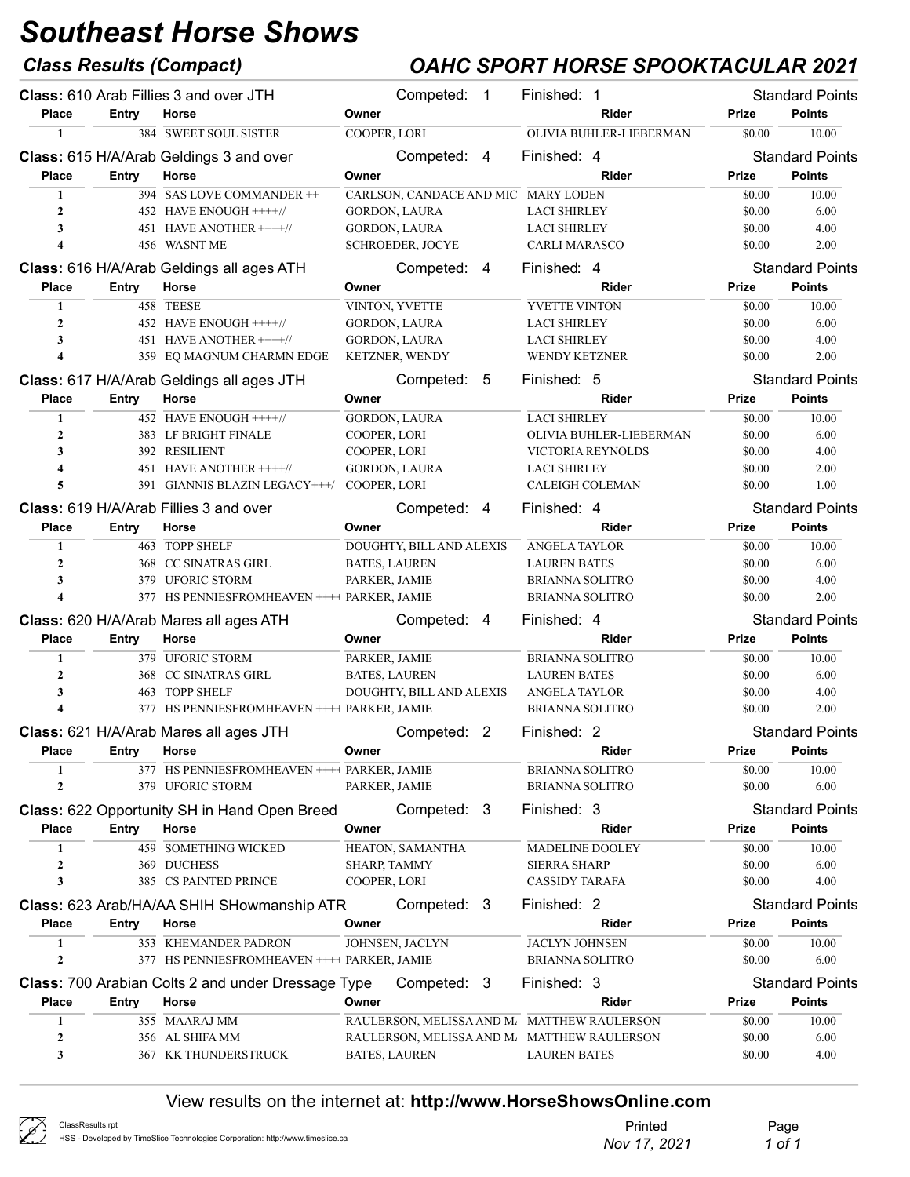## Class Results (Compact) OAHC SPORT HORSE SPOOKTACULAR 2021

|                         |              | Class: 610 Arab Fillies 3 and over JTH                       | Competed: 1                         | Finished: 1                                                        |                  | <b>Standard Points</b> |
|-------------------------|--------------|--------------------------------------------------------------|-------------------------------------|--------------------------------------------------------------------|------------------|------------------------|
| <b>Place</b>            | Entry        | Horse                                                        | Owner                               | Rider                                                              | Prize            | <b>Points</b>          |
| 1                       |              | 384 SWEET SOUL SISTER                                        | COOPER, LORI                        | OLIVIA BUHLER-LIEBERMAN                                            | \$0.00           | 10.00                  |
|                         |              | Class: 615 H/A/Arab Geldings 3 and over                      | Competed: 4                         | Finished: 4                                                        |                  | <b>Standard Points</b> |
| <b>Place</b>            | Entry        | Horse                                                        | Owner                               | Rider                                                              | Prize            | <b>Points</b>          |
| $\mathbf{1}$            |              | 394 SAS LOVE COMMANDER ++                                    | CARLSON, CANDACE AND MIC MARY LODEN |                                                                    | \$0.00           | 10.00                  |
| $\mathbf{2}$            |              | 452 HAVE ENOUGH ++++//                                       | GORDON, LAURA                       | <b>LACI SHIRLEY</b>                                                | \$0.00           | 6.00                   |
| 3                       |              | 451 HAVE ANOTHER ++++//                                      | GORDON, LAURA                       | <b>LACI SHIRLEY</b>                                                | \$0.00           | 4.00                   |
| $\overline{\mathbf{4}}$ |              | 456 WASNT ME                                                 | <b>SCHROEDER, JOCYE</b>             | <b>CARLI MARASCO</b>                                               | \$0.00           | 2.00                   |
|                         |              | Class: 616 H/A/Arab Geldings all ages ATH                    | Competed: 4                         | Finished: 4                                                        |                  | <b>Standard Points</b> |
| <b>Place</b>            | <b>Entry</b> | Horse                                                        | Owner                               | Rider                                                              | Prize            | <b>Points</b>          |
| 1                       |              | 458 TEESE                                                    | VINTON, YVETTE                      | <b>YVETTE VINTON</b>                                               | \$0.00           | 10.00                  |
| $\boldsymbol{2}$        |              | 452 HAVE ENOUGH ++++//                                       | GORDON, LAURA                       | <b>LACI SHIRLEY</b>                                                | \$0.00           | 6.00                   |
| 3                       |              | 451 HAVE ANOTHER ++++//                                      | GORDON, LAURA                       | <b>LACI SHIRLEY</b>                                                | \$0.00           | 4.00                   |
| $\overline{\mathbf{4}}$ |              | 359 EQ MAGNUM CHARMN EDGE                                    | KETZNER, WENDY                      | WENDY KETZNER                                                      | \$0.00           | 2.00                   |
|                         |              | Class: 617 H/A/Arab Geldings all ages JTH                    | Competed: 5                         | Finished: 5                                                        |                  | <b>Standard Points</b> |
| <b>Place</b>            | Entry        | Horse                                                        | Owner                               | Rider                                                              | Prize            | <b>Points</b>          |
| $\mathbf{1}$            |              | 452 HAVE ENOUGH + + + + //                                   | <b>GORDON, LAURA</b>                | <b>LACI SHIRLEY</b>                                                | \$0.00           | 10.00                  |
| $\mathbf{2}$            |              | 383 LF BRIGHT FINALE                                         | COOPER, LORI                        | OLIVIA BUHLER-LIEBERMAN                                            | \$0.00           | 6.00                   |
| 3                       |              | 392 RESILIENT                                                | COOPER, LORI                        | VICTORIA REYNOLDS                                                  | \$0.00           | 4.00                   |
| $\overline{\mathbf{4}}$ |              | 451 HAVE ANOTHER ++++//                                      | <b>GORDON, LAURA</b>                | <b>LACI SHIRLEY</b>                                                | \$0.00           | 2.00                   |
| 5                       |              | 391 GIANNIS BLAZIN LEGACY+++/ COOPER, LORI                   |                                     | <b>CALEIGH COLEMAN</b>                                             | \$0.00           | 1.00                   |
|                         |              | <b>Class:</b> 619 H/A/Arab Fillies 3 and over                | Competed: 4                         | Finished: 4                                                        |                  | <b>Standard Points</b> |
| <b>Place</b>            | Entry        | Horse                                                        | Owner                               | Rider                                                              | Prize            | <b>Points</b>          |
| 1                       |              | 463 TOPP SHELF                                               | DOUGHTY, BILL AND ALEXIS            | <b>ANGELA TAYLOR</b>                                               | \$0.00           | 10.00                  |
| $\mathbf{2}$            |              | 368 CC SINATRAS GIRL                                         | <b>BATES, LAUREN</b>                | <b>LAUREN BATES</b>                                                | \$0.00           | 6.00                   |
| 3                       |              | 379 UFORIC STORM                                             | PARKER, JAMIE                       | <b>BRIANNA SOLITRO</b>                                             | \$0.00           | 4.00                   |
| $\overline{\mathbf{4}}$ |              | 377 HS PENNIESFROMHEAVEN ++++ PARKER, JAMIE                  |                                     | <b>BRIANNA SOLITRO</b>                                             | \$0.00           | 2.00                   |
|                         |              | Class: 620 H/A/Arab Mares all ages ATH                       | Competed: 4                         | Finished: 4                                                        |                  | <b>Standard Points</b> |
| <b>Place</b>            | Entry        | Horse                                                        | Owner                               | Rider                                                              | Prize            | <b>Points</b>          |
| 1                       |              | 379 UFORIC STORM                                             | PARKER, JAMIE                       | <b>BRIANNA SOLITRO</b>                                             | \$0.00           | 10.00                  |
| $\mathbf{2}$            |              | 368 CC SINATRAS GIRL                                         | <b>BATES, LAUREN</b>                | <b>LAUREN BATES</b>                                                | \$0.00           | 6.00                   |
| 3                       |              |                                                              |                                     |                                                                    |                  |                        |
|                         |              | 463 TOPP SHELF                                               | DOUGHTY, BILL AND ALEXIS            | <b>ANGELA TAYLOR</b>                                               | \$0.00           | 4.00                   |
| $\overline{\mathbf{4}}$ |              | 377 HS PENNIESFROMHEAVEN ++++ PARKER, JAMIE                  |                                     | <b>BRIANNA SOLITRO</b>                                             | \$0.00           | 2.00                   |
|                         |              |                                                              | Competed: 2                         | Finished: 2                                                        |                  | <b>Standard Points</b> |
| <b>Place</b>            | Entry Horse  | Class: 621 H/A/Arab Mares all ages JTH                       | Owner                               | Rider                                                              | <b>Prize</b>     | <b>Points</b>          |
| 1                       |              | 377 HS PENNIESFROMHEAVEN ++++ PARKER, JAMIE                  |                                     | <b>BRIANNA SOLITRO</b>                                             | \$0.00           | 10.00                  |
| $\boldsymbol{2}$        |              | 379 UFORIC STORM                                             | PARKER, JAMIE                       | <b>BRIANNA SOLITRO</b>                                             | \$0.00           | 6.00                   |
|                         |              |                                                              | Competed: 3                         | Finished: 3                                                        |                  | <b>Standard Points</b> |
| <b>Place</b>            | Entry        | <b>Class: 622 Opportunity SH in Hand Open Breed</b><br>Horse |                                     | Rider                                                              | Prize            | <b>Points</b>          |
| 1                       |              | 459 SOMETHING WICKED                                         | Owner                               | MADELINE DOOLEY                                                    | \$0.00           | 10.00                  |
| 2                       |              | 369 DUCHESS                                                  | HEATON, SAMANTHA<br>SHARP, TAMMY    | <b>SIERRA SHARP</b>                                                | \$0.00           | 6.00                   |
| 3                       |              | 385 CS PAINTED PRINCE                                        | COOPER, LORI                        | <b>CASSIDY TARAFA</b>                                              | \$0.00           | 4.00                   |
|                         |              |                                                              |                                     |                                                                    |                  |                        |
|                         |              | Class: 623 Arab/HA/AA SHIH SHowmanship ATR                   | Competed: 3                         | Finished: 2                                                        |                  | <b>Standard Points</b> |
| Place                   | Entry        | Horse                                                        | Owner                               | Rider                                                              | Prize            | <b>Points</b>          |
| 1<br>$\mathbf{2}$       |              | 353 KHEMANDER PADRON                                         | JOHNSEN, JACLYN                     | <b>JACLYN JOHNSEN</b>                                              | \$0.00           | 10.00                  |
|                         |              | 377 HS PENNIESFROMHEAVEN ++++ PARKER, JAMIE                  |                                     | <b>BRIANNA SOLITRO</b>                                             | \$0.00           | 6.00                   |
|                         |              | <b>Class: 700 Arabian Colts 2 and under Dressage Type</b>    | Competed: 3                         | Finished: 3                                                        |                  | <b>Standard Points</b> |
| Place                   | Entry        | Horse                                                        | Owner                               | Rider                                                              | <b>Prize</b>     | <b>Points</b>          |
| 1                       |              | 355 MAARAJ MM                                                |                                     | RAULERSON, MELISSA AND M. MATTHEW RAULERSON                        | \$0.00           | 10.00                  |
| 2<br>3                  |              | 356 AL SHIFA MM<br>367 KK THUNDERSTRUCK                      | <b>BATES, LAUREN</b>                | RAULERSON, MELISSA AND M. MATTHEW RAULERSON<br><b>LAUREN BATES</b> | \$0.00<br>\$0.00 | 6.00<br>4.00           |

| ClassResults.rpt<br>HSS - Developed by TimeSlice Technologies Corporation: http://www.timeslice.ca | Printed<br>Nov 17, 2021 | Page<br>_1 of 1 |
|----------------------------------------------------------------------------------------------------|-------------------------|-----------------|
|----------------------------------------------------------------------------------------------------|-------------------------|-----------------|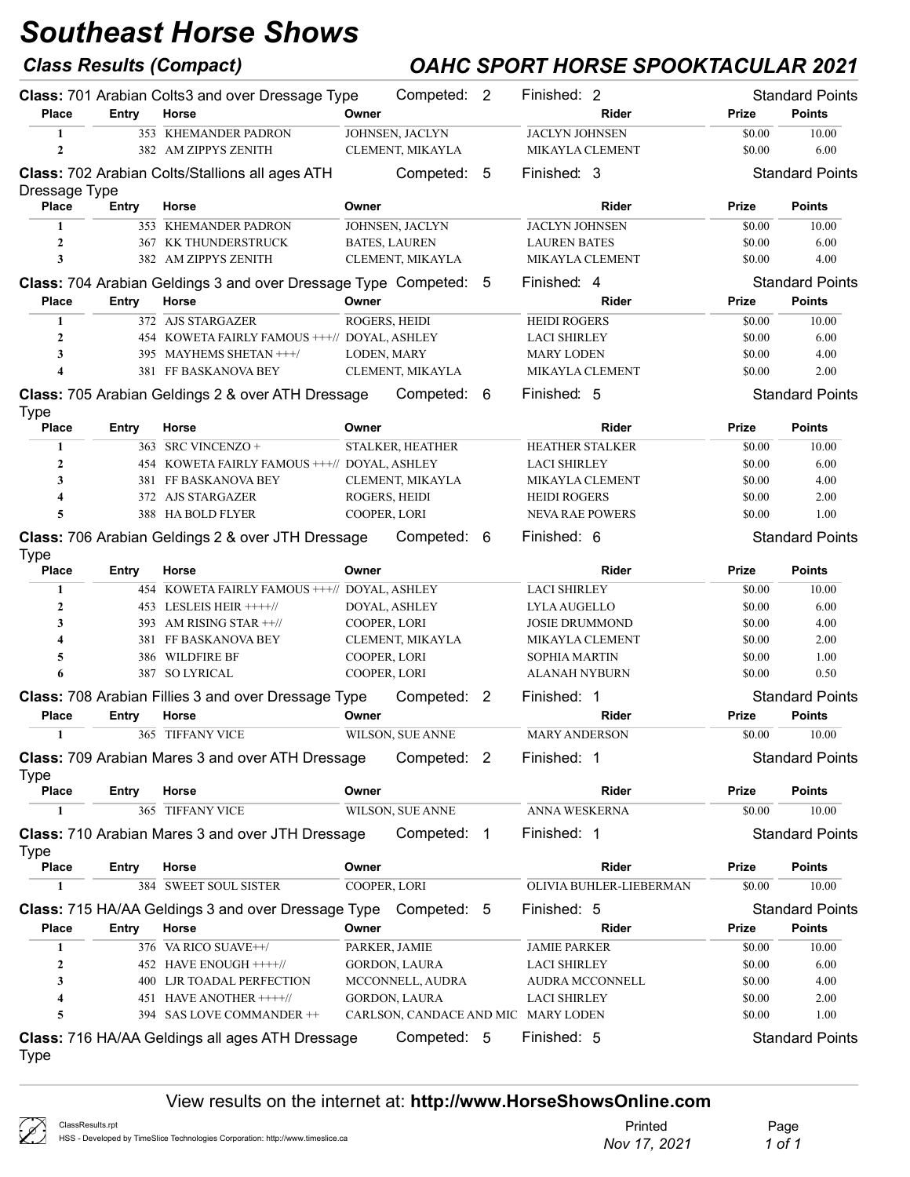## Class Results (Compact) OAHC SPORT HORSE SPOOKTACULAR 2021

|                               |              | <b>Class: 701 Arabian Colts3 and over Dressage Type</b>                 |                                     | Competed: 2 | Finished: 2            |                         |        | <b>Standard Points</b> |
|-------------------------------|--------------|-------------------------------------------------------------------------|-------------------------------------|-------------|------------------------|-------------------------|--------|------------------------|
| <b>Place</b>                  | Entry        | Horse                                                                   | Owner                               |             |                        | Rider                   | Prize  | <b>Points</b>          |
| $\mathbf{1}$                  |              | 353 KHEMANDER PADRON                                                    | JOHNSEN, JACLYN                     |             | <b>JACLYN JOHNSEN</b>  |                         | \$0.00 | 10.00                  |
| $\mathbf{2}$                  |              | 382 AM ZIPPYS ZENITH                                                    | CLEMENT, MIKAYLA                    |             | MIKAYLA CLEMENT        |                         | \$0.00 | 6.00                   |
|                               |              | Class: 702 Arabian Colts/Stallions all ages ATH                         | Competed:                           | - 5         | Finished: 3            |                         |        | <b>Standard Points</b> |
| Dressage Type<br><b>Place</b> | Entry        | Horse                                                                   | Owner                               |             |                        | Rider                   | Prize  | <b>Points</b>          |
| 1                             |              | 353 KHEMANDER PADRON                                                    | JOHNSEN, JACLYN                     |             | <b>JACLYN JOHNSEN</b>  |                         | \$0.00 | 10.00                  |
| $\overline{2}$                |              | 367 KK THUNDERSTRUCK                                                    | <b>BATES, LAUREN</b>                |             | <b>LAUREN BATES</b>    |                         | \$0.00 | 6.00                   |
| 3                             |              | 382 AM ZIPPYS ZENITH                                                    | CLEMENT, MIKAYLA                    |             | MIKAYLA CLEMENT        |                         | \$0.00 | 4.00                   |
|                               |              | <b>Class: 704 Arabian Geldings 3 and over Dressage Type Competed: 5</b> |                                     |             | Finished: 4            |                         |        | <b>Standard Points</b> |
| <b>Place</b>                  | Entry        | Horse                                                                   | Owner                               |             |                        | Rider                   | Prize  | <b>Points</b>          |
| $\mathbf{1}$                  |              | 372 AJS STARGAZER                                                       | ROGERS, HEIDI                       |             | <b>HEIDI ROGERS</b>    |                         | \$0.00 | 10.00                  |
| $\overline{2}$                |              | 454 KOWETA FAIRLY FAMOUS +++// DOYAL, ASHLEY                            |                                     |             | <b>LACI SHIRLEY</b>    |                         | \$0.00 | 6.00                   |
| 3                             |              | 395 MAYHEMS SHETAN +++/                                                 | LODEN, MARY                         |             | <b>MARY LODEN</b>      |                         | \$0.00 | 4.00                   |
| 4                             |              | 381 FF BASKANOVA BEY                                                    | CLEMENT, MIKAYLA                    |             | MIKAYLA CLEMENT        |                         | \$0.00 | 2.00                   |
| <b>Type</b>                   |              | <b>Class: 705 Arabian Geldings 2 &amp; over ATH Dressage</b>            |                                     | Competed: 6 | Finished: 5            |                         |        | <b>Standard Points</b> |
| Place                         | <b>Entry</b> | Horse                                                                   | Owner                               |             |                        | Rider                   | Prize  | <b>Points</b>          |
| 1                             |              | 363 SRC VINCENZO +                                                      | STALKER, HEATHER                    |             | <b>HEATHER STALKER</b> |                         | \$0.00 | 10.00                  |
| $\mathbf{2}$                  |              | 454 KOWETA FAIRLY FAMOUS +++// DOYAL, ASHLEY                            |                                     |             | <b>LACI SHIRLEY</b>    |                         | \$0.00 | 6.00                   |
| 3                             |              | 381 FF BASKANOVA BEY                                                    | CLEMENT, MIKAYLA                    |             | MIKAYLA CLEMENT        |                         | \$0.00 | 4.00                   |
| 4                             |              | 372 AJS STARGAZER                                                       | ROGERS, HEIDI                       |             | <b>HEIDI ROGERS</b>    |                         | \$0.00 | 2.00                   |
| 5                             |              | 388 HA BOLD FLYER                                                       | COOPER, LORI                        |             | <b>NEVA RAE POWERS</b> |                         | \$0.00 | 1.00                   |
|                               |              | <b>Class: 706 Arabian Geldings 2 &amp; over JTH Dressage</b>            |                                     | Competed: 6 | Finished: 6            |                         |        | <b>Standard Points</b> |
| <b>Type</b><br><b>Place</b>   | Entry        | Horse                                                                   | Owner                               |             |                        | Rider                   | Prize  | <b>Points</b>          |
| 1                             |              | 454 KOWETA FAIRLY FAMOUS +++// DOYAL, ASHLEY                            |                                     |             | <b>LACI SHIRLEY</b>    |                         | \$0.00 | 10.00                  |
| 2                             |              | 453 LESLEIS HEIR ++++//                                                 | DOYAL, ASHLEY                       |             | LYLA AUGELLO           |                         | \$0.00 | 6.00                   |
| 3                             | 393          | AM RISING STAR ++//                                                     | COOPER, LORI                        |             | <b>JOSIE DRUMMOND</b>  |                         | \$0.00 | 4.00                   |
| 4                             |              | 381 FF BASKANOVA BEY                                                    | CLEMENT, MIKAYLA                    |             | MIKAYLA CLEMENT        |                         | \$0.00 | 2.00                   |
| 5                             |              | 386 WILDFIRE BF                                                         | COOPER, LORI                        |             | <b>SOPHIA MARTIN</b>   |                         | \$0.00 | 1.00                   |
| 6                             |              | 387 SO LYRICAL                                                          | COOPER, LORI                        |             | <b>ALANAH NYBURN</b>   |                         | \$0.00 | 0.50                   |
|                               |              | <b>Class: 708 Arabian Fillies 3 and over Dressage Type</b>              |                                     | Competed: 2 | Finished: 1            |                         |        | <b>Standard Points</b> |
| <b>Place</b>                  | Entry        | Horse                                                                   | Owner                               |             |                        | Rider                   | Prize  | <b>Points</b>          |
| 1                             |              | 365 TIFFANY VICE                                                        | WILSON, SUE ANNE                    |             | <b>MARY ANDERSON</b>   |                         | \$0.00 | 10.00                  |
|                               |              | <b>Class: 709 Arabian Mares 3 and over ATH Dressage</b>                 |                                     | Competed: 2 | Finished: 1            |                         |        | <b>Standard Points</b> |
| <b>Type</b><br>Place          | <b>Entry</b> | Horse                                                                   | Owner                               |             |                        | Rider                   | Prize  | <b>Points</b>          |
| 1                             |              | 365 TIFFANY VICE                                                        | WILSON, SUE ANNE                    |             | ANNA WESKERNA          |                         | \$0.00 | 10.00                  |
|                               |              | <b>Class: 710 Arabian Mares 3 and over JTH Dressage</b>                 |                                     | Competed: 1 | Finished: 1            |                         |        | <b>Standard Points</b> |
| Type<br>Place                 | Entry        | Horse                                                                   | Owner                               |             |                        | Rider                   | Prize  | <b>Points</b>          |
| 1                             |              | 384 SWEET SOUL SISTER                                                   | COOPER, LORI                        |             |                        | OLIVIA BUHLER-LIEBERMAN | \$0.00 | 10.00                  |
|                               |              |                                                                         |                                     |             |                        |                         |        |                        |
|                               |              | Class: 715 HA/AA Geldings 3 and over Dressage Type Competed: 5          |                                     |             | Finished: 5            |                         |        | <b>Standard Points</b> |
| Place                         | Entry        | Horse                                                                   | Owner                               |             |                        | Rider                   | Prize  | <b>Points</b>          |
| 1                             |              | 376 VA RICO SUAVE++/                                                    | PARKER, JAMIE                       |             | <b>JAMIE PARKER</b>    |                         | \$0.00 | 10.00                  |
| 2                             |              | 452 HAVE ENOUGH ++++//                                                  | GORDON, LAURA                       |             | <b>LACI SHIRLEY</b>    |                         | \$0.00 | 6.00                   |
| 3                             |              | 400 LJR TOADAL PERFECTION                                               | MCCONNELL, AUDRA                    |             |                        | AUDRA MCCONNELL         | \$0.00 | 4.00                   |
| 4                             |              | 451 HAVE ANOTHER ++++//                                                 | GORDON, LAURA                       |             | <b>LACI SHIRLEY</b>    |                         | \$0.00 | 2.00                   |
| 5                             |              | 394 SAS LOVE COMMANDER ++                                               | CARLSON, CANDACE AND MIC MARY LODEN |             |                        |                         | \$0.00 | 1.00                   |
| Type                          |              | Class: 716 HA/AA Geldings all ages ATH Dressage                         |                                     | Competed: 5 | Finished: 5            |                         |        | <b>Standard Points</b> |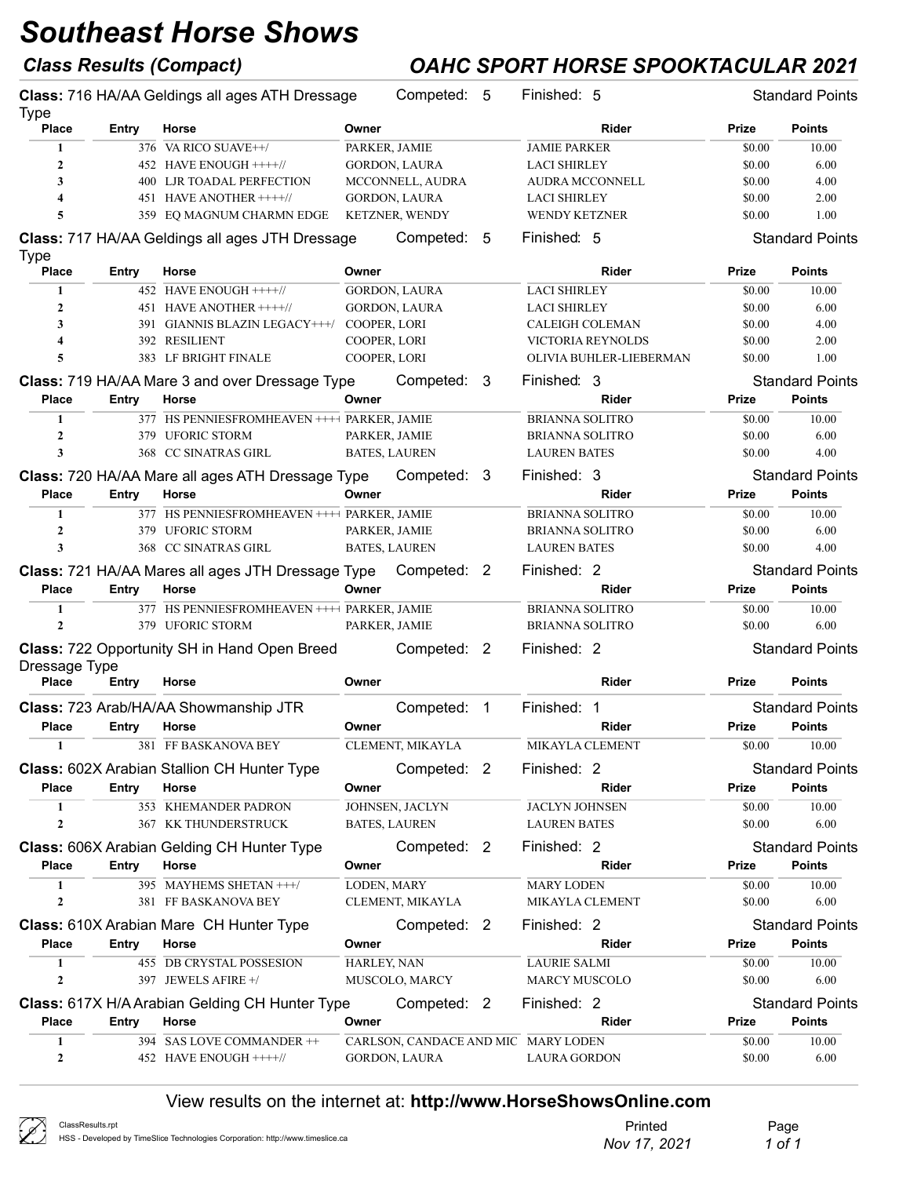## Class Results (Compact) OAHC SPORT HORSE SPOOKTACULAR 2021

| <b>Type</b>          |       | Class: 716 HA/AA Geldings all ages ATH Dressage     |              | Competed: 5                         |                | Finished: 5            |                         |              | <b>Standard Points</b> |
|----------------------|-------|-----------------------------------------------------|--------------|-------------------------------------|----------------|------------------------|-------------------------|--------------|------------------------|
| <b>Place</b>         | Entry | Horse                                               | Owner        |                                     |                |                        | <b>Rider</b>            | Prize        | <b>Points</b>          |
| 1                    |       | 376 VA RICO SUAVE++/                                |              | PARKER, JAMIE                       |                | <b>JAMIE PARKER</b>    |                         | \$0.00       | 10.00                  |
| $\mathbf{2}$         |       | 452 HAVE ENOUGH ++++//                              |              | <b>GORDON, LAURA</b>                |                | <b>LACI SHIRLEY</b>    |                         | \$0.00       | 6.00                   |
| 3                    |       | 400 LJR TOADAL PERFECTION                           |              | MCCONNELL, AUDRA                    |                | <b>AUDRA MCCONNELL</b> |                         | \$0.00       | 4.00                   |
| 4                    |       | 451 HAVE ANOTHER ++++//                             |              | <b>GORDON, LAURA</b>                |                | <b>LACI SHIRLEY</b>    |                         | \$0.00       | 2.00                   |
| 5                    |       | 359 EQ MAGNUM CHARMN EDGE                           |              | <b>KETZNER, WENDY</b>               |                | <b>WENDY KETZNER</b>   |                         | \$0.00       | 1.00                   |
|                      |       | Class: 717 HA/AA Geldings all ages JTH Dressage     |              | Competed: 5                         |                | Finished: 5            |                         |              | <b>Standard Points</b> |
| Type<br><b>Place</b> | Entry | Horse                                               | Owner        |                                     |                |                        | <b>Rider</b>            | Prize        | <b>Points</b>          |
| 1                    |       | 452 HAVE ENOUGH ++++//                              |              | <b>GORDON, LAURA</b>                |                | <b>LACI SHIRLEY</b>    |                         | \$0.00       | 10.00                  |
| $\mathbf{2}$         |       | 451 HAVE ANOTHER ++++//                             |              | GORDON, LAURA                       |                | <b>LACI SHIRLEY</b>    |                         | \$0.00       | 6.00                   |
| 3                    |       | 391 GIANNIS BLAZIN LEGACY+++/ COOPER, LORI          |              |                                     |                | CALEIGH COLEMAN        |                         | \$0.00       | 4.00                   |
| 4                    |       | 392 RESILIENT                                       | COOPER, LORI |                                     |                |                        | VICTORIA REYNOLDS       | \$0.00       | 2.00                   |
| 5                    |       | 383 LF BRIGHT FINALE                                | COOPER, LORI |                                     |                |                        | OLIVIA BUHLER-LIEBERMAN | \$0.00       | 1.00                   |
|                      |       | Class: 719 HA/AA Mare 3 and over Dressage Type      |              | Competed: 3                         |                | Finished: 3            |                         |              | <b>Standard Points</b> |
| <b>Place</b>         | Entry | Horse                                               | Owner        |                                     |                |                        | Rider                   | Prize        | <b>Points</b>          |
| $\mathbf{1}$         |       | 377 HS PENNIESFROMHEAVEN ++++ PARKER, JAMIE         |              |                                     |                | <b>BRIANNA SOLITRO</b> |                         | \$0.00       | 10.00                  |
| $\mathbf{2}$         |       | 379 UFORIC STORM                                    |              | PARKER, JAMIE                       |                | <b>BRIANNA SOLITRO</b> |                         | \$0.00       | 6.00                   |
| 3                    |       | 368 CC SINATRAS GIRL                                |              | <b>BATES, LAUREN</b>                |                | <b>LAUREN BATES</b>    |                         | \$0.00       | 4.00                   |
|                      |       | Class: 720 HA/AA Mare all ages ATH Dressage Type    |              | Competed: 3                         |                | Finished: 3            |                         |              | <b>Standard Points</b> |
| <b>Place</b>         | Entry | Horse                                               | Owner        |                                     |                |                        | Rider                   | Prize        | <b>Points</b>          |
| $\mathbf{1}$         |       | 377 HS PENNIESFROMHEAVEN ++++ PARKER, JAMIE         |              |                                     |                | <b>BRIANNA SOLITRO</b> |                         | \$0.00       | 10.00                  |
| $\mathbf{2}$         |       | 379 UFORIC STORM                                    |              | PARKER, JAMIE                       |                | <b>BRIANNA SOLITRO</b> |                         | \$0.00       | 6.00                   |
| 3                    |       | 368 CC SINATRAS GIRL                                |              | <b>BATES, LAUREN</b>                |                | <b>LAUREN BATES</b>    |                         | \$0.00       | 4.00                   |
|                      |       | Class: 721 HA/AA Mares all ages JTH Dressage Type   |              | Competed: 2                         |                | Finished: 2            |                         |              | <b>Standard Points</b> |
| <b>Place</b>         | Entry | Horse                                               | Owner        |                                     |                |                        | <b>Rider</b>            | Prize        | <b>Points</b>          |
| 1                    |       | 377 HS PENNIESFROMHEAVEN ++++ PARKER, JAMIE         |              |                                     |                | <b>BRIANNA SOLITRO</b> |                         | \$0.00       | 10.00                  |
| $\mathbf{2}$         |       | 379 UFORIC STORM                                    |              | PARKER, JAMIE                       |                | <b>BRIANNA SOLITRO</b> |                         | \$0.00       | 6.00                   |
|                      |       | <b>Class: 722 Opportunity SH in Hand Open Breed</b> |              | Competed: 2                         |                | Finished: 2            |                         |              | <b>Standard Points</b> |
| Dressage Type        |       |                                                     |              |                                     |                |                        |                         |              |                        |
| Place                | Entry | Horse                                               | Owner        |                                     |                |                        | <b>Rider</b>            | Prize        | <b>Points</b>          |
|                      |       | Class: 723 Arab/HA/AA Showmanship JTR               |              | Competed:                           | $\overline{1}$ | Finished: 1            |                         |              | <b>Standard Points</b> |
| <b>Place</b>         | Entry | Horse                                               | Owner        |                                     |                |                        | Rider                   | Prize        | <b>Points</b>          |
|                      |       | 381 FF BASKANOVA BEY                                |              | CLEMENT, MIKAYLA                    |                | MIKAYLA CLEMENT        |                         | \$0.00       | 10.00                  |
|                      |       | Class: 602X Arabian Stallion CH Hunter Type         |              | Competed: 2                         |                | Finished: 2            |                         |              | <b>Standard Points</b> |
| <b>Place</b>         | Entry | Horse                                               | Owner        |                                     |                |                        | Rider                   | <b>Prize</b> | <b>Points</b>          |
| 1                    |       | 353 KHEMANDER PADRON                                |              | JOHNSEN, JACLYN                     |                | <b>JACLYN JOHNSEN</b>  |                         | \$0.00       | 10.00                  |
| 2                    |       | 367 KK THUNDERSTRUCK                                |              | <b>BATES, LAUREN</b>                |                | <b>LAUREN BATES</b>    |                         | \$0.00       | 6.00                   |
|                      |       | <b>Class: 606X Arabian Gelding CH Hunter Type</b>   |              | Competed: 2                         |                | Finished: 2            |                         |              | <b>Standard Points</b> |
| <b>Place</b>         | Entry | Horse                                               | Owner        |                                     |                |                        | Rider                   | Prize        | <b>Points</b>          |
| 1                    |       | 395 MAYHEMS SHETAN +++/                             | LODEN, MARY  |                                     |                | <b>MARY LODEN</b>      |                         | \$0.00       | 10.00                  |
| 2                    |       | 381 FF BASKANOVA BEY                                |              | CLEMENT, MIKAYLA                    |                | MIKAYLA CLEMENT        |                         | \$0.00       | 6.00                   |
|                      |       | <b>Class: 610X Arabian Mare CH Hunter Type</b>      |              | Competed: 2                         |                | Finished: 2            |                         |              | <b>Standard Points</b> |
| <b>Place</b>         | Entry | Horse                                               | Owner        |                                     |                |                        | Rider                   | Prize        | <b>Points</b>          |
| 1                    |       | 455 DB CRYSTAL POSSESION                            | HARLEY, NAN  |                                     |                | <b>LAURIE SALMI</b>    |                         | \$0.00       | 10.00                  |
| $\mathbf{2}$         |       | 397 JEWELS AFIRE +/                                 |              | MUSCOLO, MARCY                      |                | MARCY MUSCOLO          |                         | \$0.00       | 6.00                   |
|                      |       | Class: 617X H/A Arabian Gelding CH Hunter Type      |              | Competed: 2                         |                | Finished: 2            |                         |              | <b>Standard Points</b> |
| <b>Place</b>         | Entry | Horse                                               | Owner        |                                     |                |                        | Rider                   | Prize        | Points                 |
| 1                    |       | 394 SAS LOVE COMMANDER ++                           |              | CARLSON, CANDACE AND MIC MARY LODEN |                |                        |                         | \$0.00       | 10.00                  |
| 2                    |       | 452 HAVE ENOUGH ++++//                              |              | GORDON, LAURA                       |                | <b>LAURA GORDON</b>    |                         | \$0.00       | 6.00                   |

| $\mathscr{D}$<br>ClassResults.rpt<br>HSS - Developed by TimeSlice Technologies Corporation: http://www.timeslice.ca | Printec<br>Nov 17, 2021 | Page<br>1 of 1 |
|---------------------------------------------------------------------------------------------------------------------|-------------------------|----------------|
|---------------------------------------------------------------------------------------------------------------------|-------------------------|----------------|